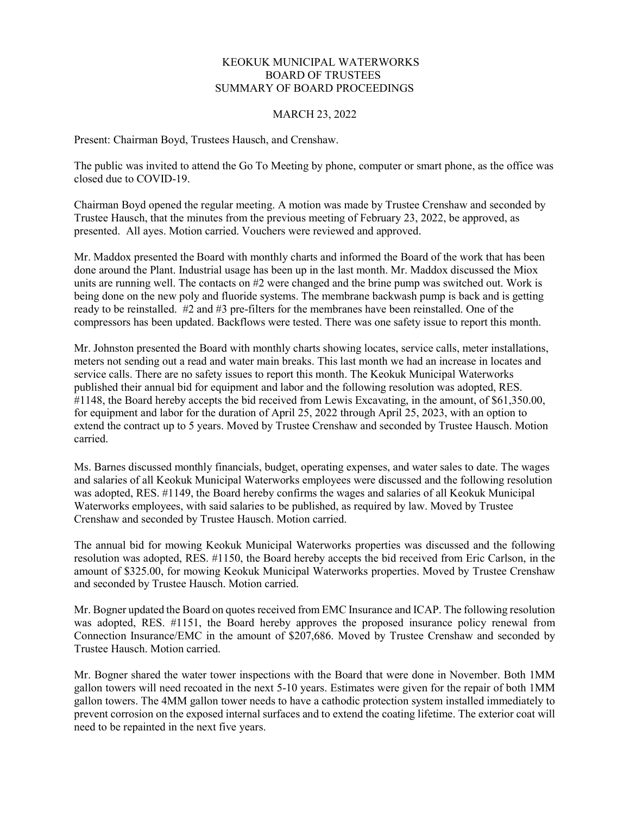## KEOKUK MUNICIPAL WATERWORKS BOARD OF TRUSTEES SUMMARY OF BOARD PROCEEDINGS

## MARCH 23, 2022

Present: Chairman Boyd, Trustees Hausch, and Crenshaw.

The public was invited to attend the Go To Meeting by phone, computer or smart phone, as the office was closed due to COVID-19.

Chairman Boyd opened the regular meeting. A motion was made by Trustee Crenshaw and seconded by Trustee Hausch, that the minutes from the previous meeting of February 23, 2022, be approved, as presented. All ayes. Motion carried. Vouchers were reviewed and approved.

Mr. Maddox presented the Board with monthly charts and informed the Board of the work that has been done around the Plant. Industrial usage has been up in the last month. Mr. Maddox discussed the Miox units are running well. The contacts on #2 were changed and the brine pump was switched out. Work is being done on the new poly and fluoride systems. The membrane backwash pump is back and is getting ready to be reinstalled. #2 and #3 pre-filters for the membranes have been reinstalled. One of the compressors has been updated. Backflows were tested. There was one safety issue to report this month.

Mr. Johnston presented the Board with monthly charts showing locates, service calls, meter installations, meters not sending out a read and water main breaks. This last month we had an increase in locates and service calls. There are no safety issues to report this month. The Keokuk Municipal Waterworks published their annual bid for equipment and labor and the following resolution was adopted, RES. #1148, the Board hereby accepts the bid received from Lewis Excavating, in the amount, of \$61,350.00, for equipment and labor for the duration of April 25, 2022 through April 25, 2023, with an option to extend the contract up to 5 years. Moved by Trustee Crenshaw and seconded by Trustee Hausch. Motion carried.

Ms. Barnes discussed monthly financials, budget, operating expenses, and water sales to date. The wages and salaries of all Keokuk Municipal Waterworks employees were discussed and the following resolution was adopted, RES. #1149, the Board hereby confirms the wages and salaries of all Keokuk Municipal Waterworks employees, with said salaries to be published, as required by law. Moved by Trustee Crenshaw and seconded by Trustee Hausch. Motion carried.

The annual bid for mowing Keokuk Municipal Waterworks properties was discussed and the following resolution was adopted, RES. #1150, the Board hereby accepts the bid received from Eric Carlson, in the amount of \$325.00, for mowing Keokuk Municipal Waterworks properties. Moved by Trustee Crenshaw and seconded by Trustee Hausch. Motion carried.

Mr. Bogner updated the Board on quotes received from EMC Insurance and ICAP. The following resolution was adopted, RES. #1151, the Board hereby approves the proposed insurance policy renewal from Connection Insurance/EMC in the amount of \$207,686. Moved by Trustee Crenshaw and seconded by Trustee Hausch. Motion carried.

Mr. Bogner shared the water tower inspections with the Board that were done in November. Both 1MM gallon towers will need recoated in the next 5-10 years. Estimates were given for the repair of both 1MM gallon towers. The 4MM gallon tower needs to have a cathodic protection system installed immediately to prevent corrosion on the exposed internal surfaces and to extend the coating lifetime. The exterior coat will need to be repainted in the next five years.